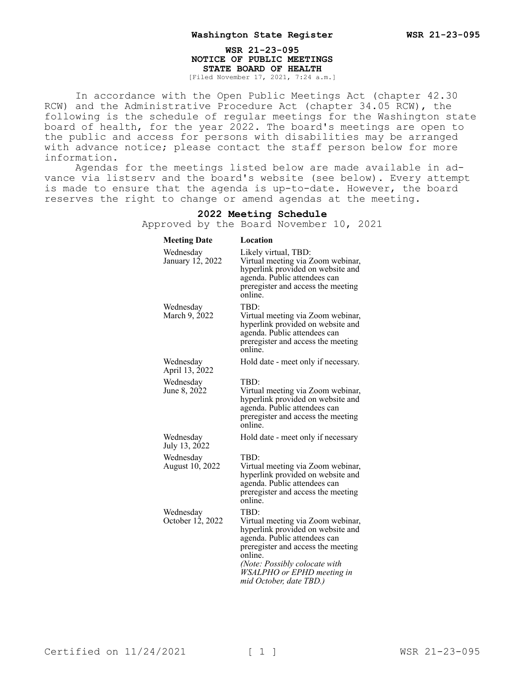## **WSR 21-23-095 NOTICE OF PUBLIC MEETINGS STATE BOARD OF HEALTH** [Filed November 17, 2021, 7:24 a.m.]

In accordance with the Open Public Meetings Act (chapter 42.30 RCW) and the Administrative Procedure Act (chapter 34.05 RCW), the following is the schedule of regular meetings for the Washington state board of health, for the year 2022. The board's meetings are open to the public and access for persons with disabilities may be arranged with advance notice; please contact the staff person below for more information.

Agendas for the meetings listed below are made available in advance via listserv and the board's website (see below). Every attempt is made to ensure that the agenda is up-to-date. However, the board reserves the right to change or amend agendas at the meeting.

## **2022 Meeting Schedule** Approved by the Board November 10, 2021 **Meeting Date Location** Wednesday January 12, 2022 Likely virtual, TBD: Virtual meeting via Zoom webinar, hyperlink provided on website and agenda. Public attendees can preregister and access the meeting online. Wednesday March 9, 2022 TBD: Virtual meeting via Zoom webinar, hyperlink provided on website and agenda. Public attendees can preregister and access the meeting online. Wednesday April 13, 2022 Hold date - meet only if necessary. Wednesday June 8, 2022 TBD: Virtual meeting via Zoom webinar, hyperlink provided on website and agenda. Public attendees can preregister and access the meeting online. Wednesday July 13, 2022 Hold date - meet only if necessary Wednesday August 10, 2022 TBD: Virtual meeting via Zoom webinar, hyperlink provided on website and agenda. Public attendees can preregister and access the meeting online. Wednesday October 12, 2022 TBD: Virtual meeting via Zoom webinar, hyperlink provided on website and agenda. Public attendees can preregister and access the meeting online.

Certified on  $11/24/2021$  [ 1 ] WSR 21-23-095

*(Note: Possibly colocate with WSALPHO or EPHD meeting in mid October, date TBD.)*